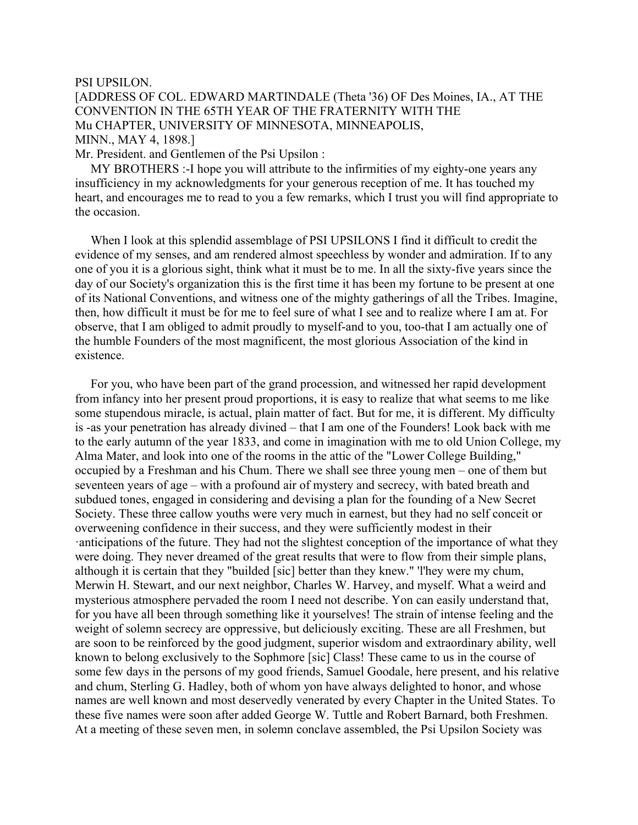## PSI UPSILON.

## [ADDRESS OF COL. EDWARD MARTINDALE (Theta '36) OF Des Moines, IA., AT THE CONVENTION IN THE 65TH YEAR OF THE FRATERNITY WITH THE Mu CHAPTER, UNIVERSITY OF MINNESOTA, MINNEAPOLIS, MINN., MAY 4, 1898.]

Mr. President. and Gentlemen of the Psi Upsilon :

 MY BROTHERS :-I hope you will attribute to the infirmities of my eighty-one years any insufficiency in my acknowledgments for your generous reception of me. It has touched my heart, and encourages me to read to you a few remarks, which I trust you will find appropriate to the occasion.

 When I look at this splendid assemblage of PSI UPSILONS I find it difficult to credit the evidence of my senses, and am rendered almost speechless by wonder and admiration. If to any one of you it is a glorious sight, think what it must be to me. In all the sixty-five years since the day of our Society's organization this is the first time it has been my fortune to be present at one of its National Conventions, and witness one of the mighty gatherings of all the Tribes. Imagine, then, how difficult it must be for me to feel sure of what I see and to realize where I am at. For observe, that I am obliged to admit proudly to myself-and to you, too-that I am actually one of the humble Founders of the most magnificent, the most glorious Association of the kind in existence.

 For you, who have been part of the grand procession, and witnessed her rapid development from infancy into her present proud proportions, it is easy to realize that what seems to me like some stupendous miracle, is actual, plain matter of fact. But for me, it is different. My difficulty is -as your penetration has already divined – that I am one of the Founders! Look back with me to the early autumn of the year 1833, and come in imagination with me to old Union College, my Alma Mater, and look into one of the rooms in the attic of the "Lower College Building," occupied by a Freshman and his Chum. There we shall see three young men – one of them but seventeen years of age – with a profound air of mystery and secrecy, with bated breath and subdued tones, engaged in considering and devising a plan for the founding of a New Secret Society. These three callow youths were very much in earnest, but they had no self conceit or overweening confidence in their success, and they were sufficiently modest in their ·anticipations of the future. They had not the slightest conception of the importance of what they were doing. They never dreamed of the great results that were to flow from their simple plans, although it is certain that they "builded [sic] better than they knew." 'l'hey were my chum, Merwin H. Stewart, and our next neighbor, Charles W. Harvey, and myself. What a weird and mysterious atmosphere pervaded the room I need not describe. Yon can easily understand that, for you have all been through something like it yourselves! The strain of intense feeling and the weight of solemn secrecy are oppressive, but deliciously exciting. These are all Freshmen, but are soon to be reinforced by the good judgment, superior wisdom and extraordinary ability, well known to belong exclusively to the Sophmore [sic] Class! These came to us in the course of some few days in the persons of my good friends, Samuel Goodale, here present, and his relative and chum, Sterling G. Hadley, both of whom yon have always delighted to honor, and whose names are well known and most deservedly venerated by every Chapter in the United States. To these five names were soon after added George W. Tuttle and Robert Barnard, both Freshmen. At a meeting of these seven men, in solemn conclave assembled, the Psi Upsilon Society was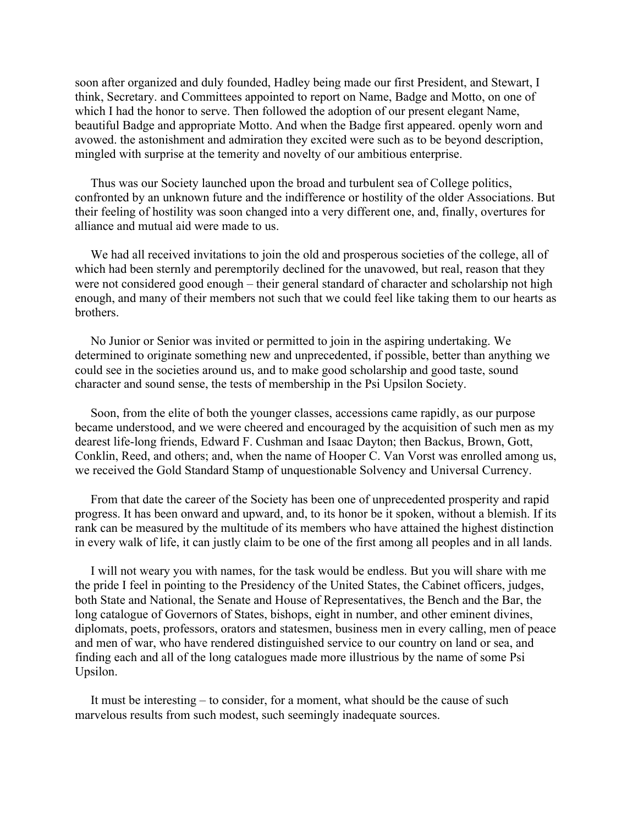soon after organized and duly founded, Hadley being made our first President, and Stewart, I think, Secretary. and Committees appointed to report on Name, Badge and Motto, on one of which I had the honor to serve. Then followed the adoption of our present elegant Name, beautiful Badge and appropriate Motto. And when the Badge first appeared. openly worn and avowed. the astonishment and admiration they excited were such as to be beyond description, mingled with surprise at the temerity and novelty of our ambitious enterprise.

 Thus was our Society launched upon the broad and turbulent sea of College politics, confronted by an unknown future and the indifference or hostility of the older Associations. But their feeling of hostility was soon changed into a very different one, and, finally, overtures for alliance and mutual aid were made to us.

 We had all received invitations to join the old and prosperous societies of the college, all of which had been sternly and peremptorily declined for the unavowed, but real, reason that they were not considered good enough – their general standard of character and scholarship not high enough, and many of their members not such that we could feel like taking them to our hearts as brothers.

 No Junior or Senior was invited or permitted to join in the aspiring undertaking. We determined to originate something new and unprecedented, if possible, better than anything we could see in the societies around us, and to make good scholarship and good taste, sound character and sound sense, the tests of membership in the Psi Upsilon Society.

 Soon, from the elite of both the younger classes, accessions came rapidly, as our purpose became understood, and we were cheered and encouraged by the acquisition of such men as my dearest life-long friends, Edward F. Cushman and Isaac Dayton; then Backus, Brown, Gott, Conklin, Reed, and others; and, when the name of Hooper C. Van Vorst was enrolled among us, we received the Gold Standard Stamp of unquestionable Solvency and Universal Currency.

 From that date the career of the Society has been one of unprecedented prosperity and rapid progress. It has been onward and upward, and, to its honor be it spoken, without a blemish. If its rank can be measured by the multitude of its members who have attained the highest distinction in every walk of life, it can justly claim to be one of the first among all peoples and in all lands.

 I will not weary you with names, for the task would be endless. But you will share with me the pride I feel in pointing to the Presidency of the United States, the Cabinet officers, judges, both State and National, the Senate and House of Representatives, the Bench and the Bar, the long catalogue of Governors of States, bishops, eight in number, and other eminent divines, diplomats, poets, professors, orators and statesmen, business men in every calling, men of peace and men of war, who have rendered distinguished service to our country on land or sea, and finding each and all of the long catalogues made more illustrious by the name of some Psi Upsilon.

 It must be interesting – to consider, for a moment, what should be the cause of such marvelous results from such modest, such seemingly inadequate sources.